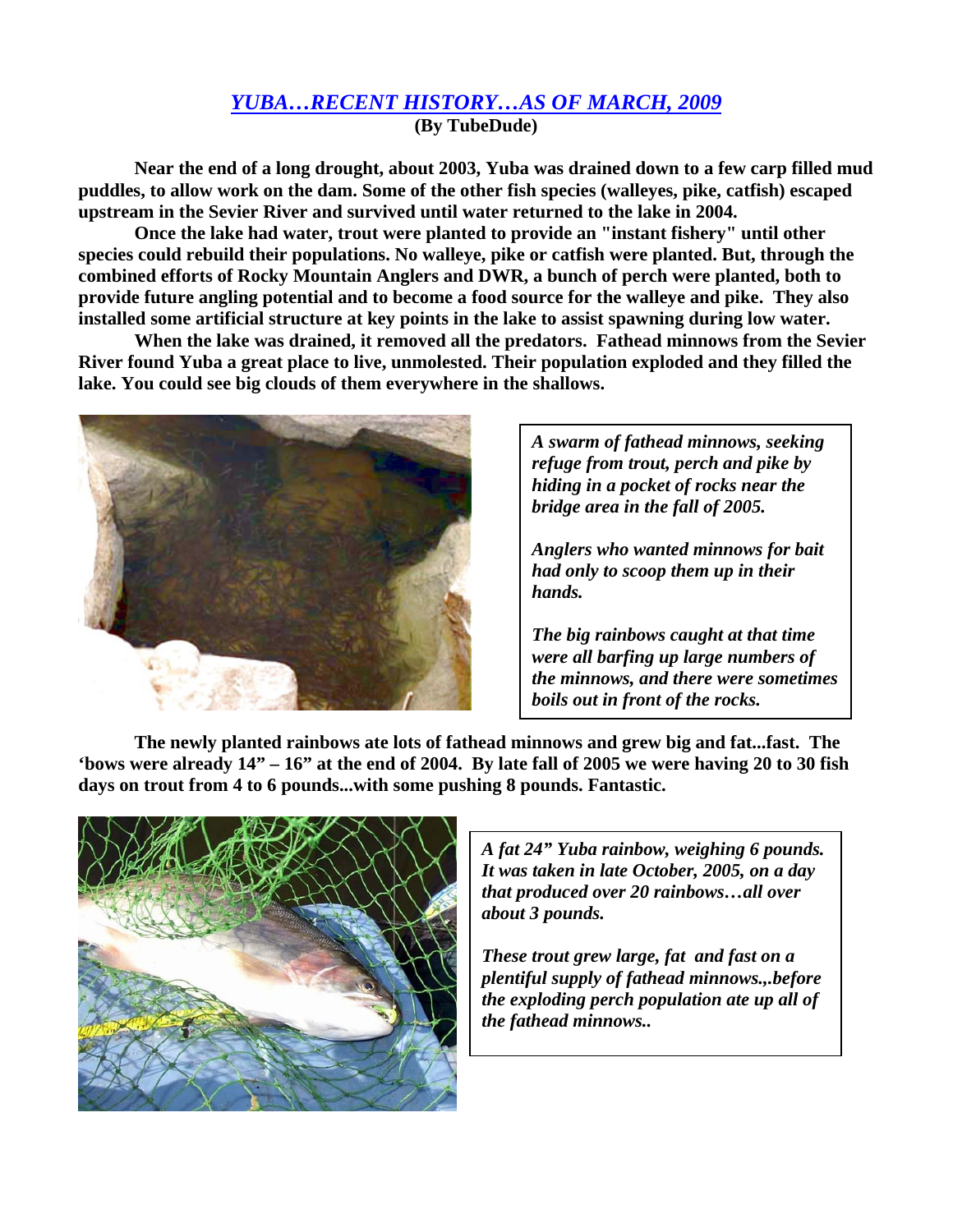## *YUBA…RECENT HISTORY…AS OF MARCH, 2009*

**(By TubeDude)** 

**Near the end of a long drought, about 2003, Yuba was drained down to a few carp filled mud puddles, to allow work on the dam. Some of the other fish species (walleyes, pike, catfish) escaped upstream in the Sevier River and survived until water returned to the lake in 2004.** 

**Once the lake had water, trout were planted to provide an "instant fishery" until other species could rebuild their populations. No walleye, pike or catfish were planted. But, through the combined efforts of Rocky Mountain Anglers and DWR, a bunch of perch were planted, both to provide future angling potential and to become a food source for the walleye and pike. They also installed some artificial structure at key points in the lake to assist spawning during low water.** 

**When the lake was drained, it removed all the predators. Fathead minnows from the Sevier River found Yuba a great place to live, unmolested. Their population exploded and they filled the lake. You could see big clouds of them everywhere in the shallows.** 



*A swarm of fathead minnows, seeking refuge from trout, perch and pike by hiding in a pocket of rocks near the bridge area in the fall of 2005.* 

*Anglers who wanted minnows for bait had only to scoop them up in their hands.* 

*The big rainbows caught at that time were all barfing up large numbers of the minnows, and there were sometimes boils out in front of the rocks.* 

**The newly planted rainbows ate lots of fathead minnows and grew big and fat...fast. The 'bows were already 14" – 16" at the end of 2004. By late fall of 2005 we were having 20 to 30 fish days on trout from 4 to 6 pounds...with some pushing 8 pounds. Fantastic.** 



*A fat 24" Yuba rainbow, weighing 6 pounds. It was taken in late October, 2005, on a day that produced over 20 rainbows…all over about 3 pounds.* 

*These trout grew large, fat and fast on a plentiful supply of fathead minnows.,.before the exploding perch population ate up all of the fathead minnows..*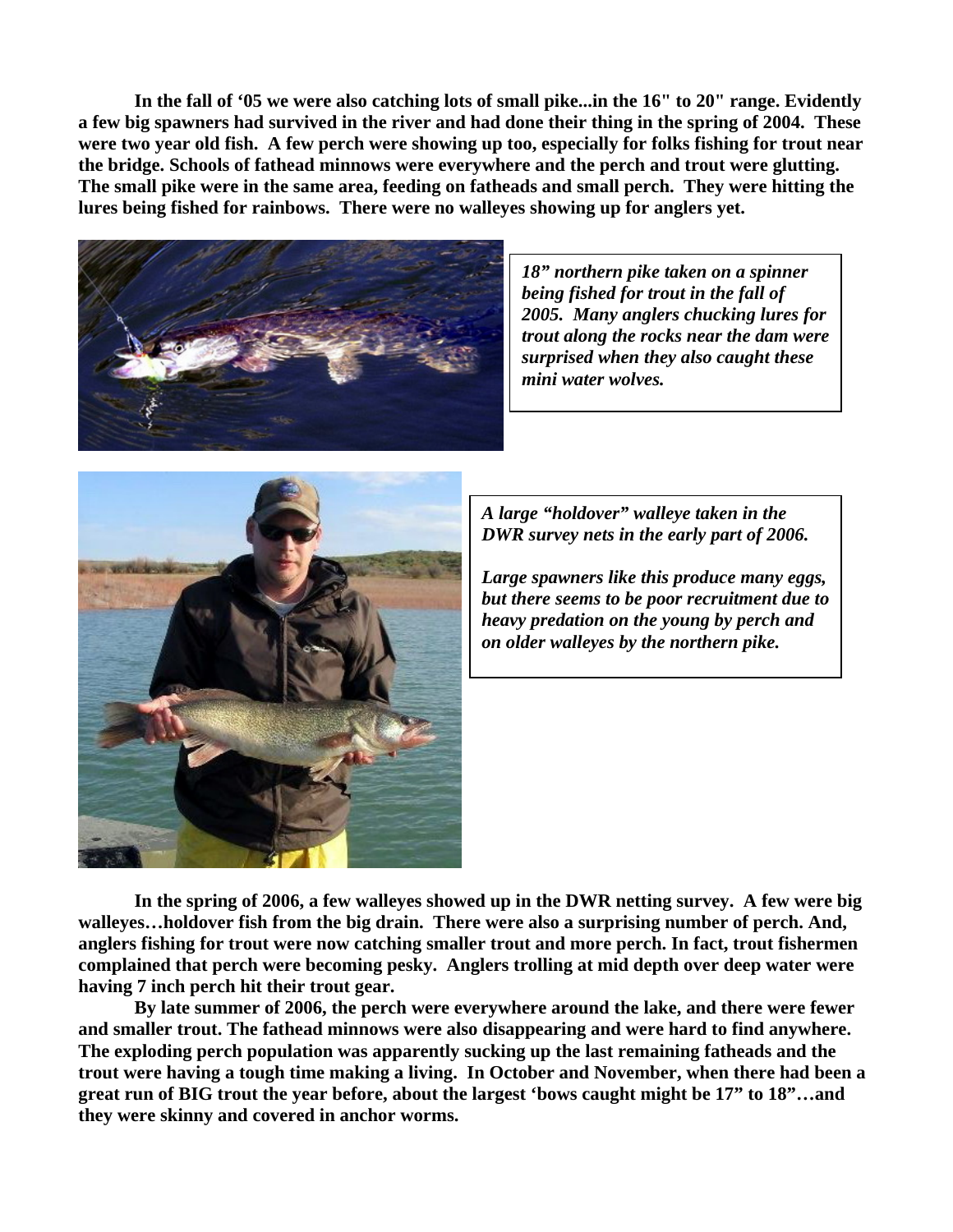**In the fall of '05 we were also catching lots of small pike...in the 16" to 20" range. Evidently a few big spawners had survived in the river and had done their thing in the spring of 2004. These were two year old fish. A few perch were showing up too, especially for folks fishing for trout near the bridge. Schools of fathead minnows were everywhere and the perch and trout were glutting. The small pike were in the same area, feeding on fatheads and small perch. They were hitting the lures being fished for rainbows. There were no walleyes showing up for anglers yet.** 



*18" northern pike taken on a spinner being fished for trout in the fall of 2005. Many anglers chucking lures for trout along the rocks near the dam were surprised when they also caught these mini water wolves.* 



*A large "holdover" walleye taken in the DWR survey nets in the early part of 2006.* 

*Large spawners like this produce many eggs, but there seems to be poor recruitment due to heavy predation on the young by perch and on older walleyes by the northern pike.* 

**In the spring of 2006, a few walleyes showed up in the DWR netting survey. A few were big walleyes…holdover fish from the big drain. There were also a surprising number of perch. And, anglers fishing for trout were now catching smaller trout and more perch. In fact, trout fishermen complained that perch were becoming pesky. Anglers trolling at mid depth over deep water were having 7 inch perch hit their trout gear.** 

**By late summer of 2006, the perch were everywhere around the lake, and there were fewer and smaller trout. The fathead minnows were also disappearing and were hard to find anywhere. The exploding perch population was apparently sucking up the last remaining fatheads and the trout were having a tough time making a living. In October and November, when there had been a great run of BIG trout the year before, about the largest 'bows caught might be 17" to 18"…and they were skinny and covered in anchor worms.**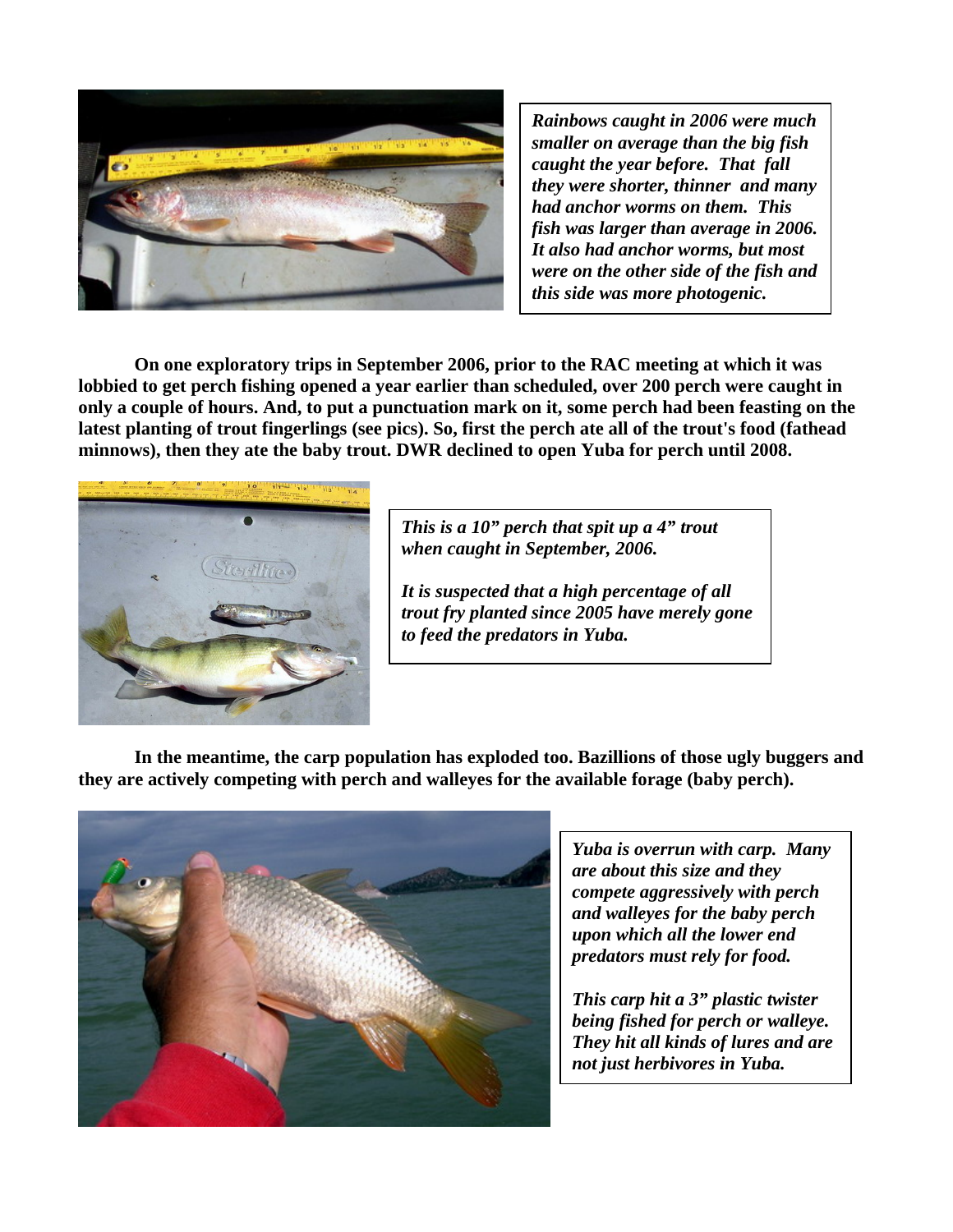

*Rainbows caught in 2006 were much smaller on average than the big fish caught the year before. That fall they were shorter, thinner and many had anchor worms on them. This fish was larger than average in 2006. It also had anchor worms, but most were on the other side of the fish and this side was more photogenic.* 

**On one exploratory trips in September 2006, prior to the RAC meeting at which it was lobbied to get perch fishing opened a year earlier than scheduled, over 200 perch were caught in only a couple of hours. And, to put a punctuation mark on it, some perch had been feasting on the latest planting of trout fingerlings (see pics). So, first the perch ate all of the trout's food (fathead minnows), then they ate the baby trout. DWR declined to open Yuba for perch until 2008.** 



*This is a 10" perch that spit up a 4" trout when caught in September, 2006.* 

*It is suspected that a high percentage of all trout fry planted since 2005 have merely gone to feed the predators in Yuba.* 

**In the meantime, the carp population has exploded too. Bazillions of those ugly buggers and they are actively competing with perch and walleyes for the available forage (baby perch).** 



*Yuba is overrun with carp. Many are about this size and they compete aggressively with perch and walleyes for the baby perch upon which all the lower end predators must rely for food.* 

*This carp hit a 3" plastic twister being fished for perch or walleye. They hit all kinds of lures and are not just herbivores in Yuba.*